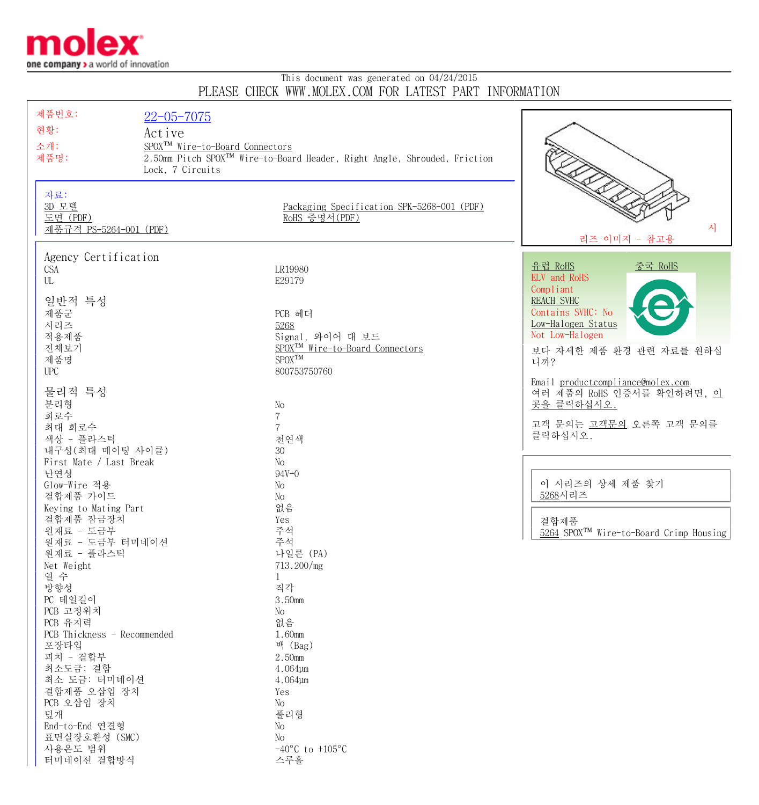

## This document was generated on 04/24/2015 PLEASE CHECK WWW.MOLEX.COM FOR LATEST PART INFORMATION

| 제품번호:                       | $22 - 05 - 7075$                            |                                                                                      |                                                     |
|-----------------------------|---------------------------------------------|--------------------------------------------------------------------------------------|-----------------------------------------------------|
| 현황:                         | Active                                      |                                                                                      |                                                     |
|                             |                                             |                                                                                      |                                                     |
| 소개:                         | SPOX <sup>TM</sup> Wire-to-Board Connectors |                                                                                      |                                                     |
| 제품명:                        |                                             | 2.50mm Pitch SPOX <sup>™</sup> Wire-to-Board Header, Right Angle, Shrouded, Friction |                                                     |
|                             | Lock, 7 Circuits                            |                                                                                      |                                                     |
|                             |                                             |                                                                                      |                                                     |
| 자료:                         |                                             |                                                                                      |                                                     |
| 3D 모델                       |                                             | Packaging Specification SPK-5268-001 (PDF)                                           |                                                     |
| 도면 (PDF)                    |                                             | RoHS 증명서(PDF)                                                                        | 시                                                   |
| 제품규격 PS-5264-001 (PDF)      |                                             |                                                                                      | 리즈 이미지 - 참고용                                        |
|                             |                                             |                                                                                      |                                                     |
| Agency Certification        |                                             |                                                                                      |                                                     |
| <b>CSA</b>                  |                                             | LR19980                                                                              | <u>유럽 RoHS</u><br>중국 RoHS                           |
| UL                          |                                             | E29179                                                                               | ELV and RoHS                                        |
|                             |                                             |                                                                                      | Compliant                                           |
| 일반적 특성                      |                                             |                                                                                      | <b>REACH SVHC</b>                                   |
| 제품군                         |                                             | PCB 헤더                                                                               | Contains SVHC: No                                   |
| 시리즈                         |                                             | 5268                                                                                 | Low-Halogen Status                                  |
| 적용제품                        |                                             | Signal, 와이어 대 보드                                                                     | Not Low-Halogen                                     |
| 전체보기                        |                                             | SPOX <sup>TM</sup> Wire-to-Board Connectors                                          | 보다 자세한 제품 환경 관련 자료를 원하십                             |
| 제품명                         |                                             | $SPOX^{TM}$                                                                          | 니까?                                                 |
| <b>UPC</b>                  |                                             | 800753750760                                                                         |                                                     |
| 물리적 특성                      |                                             |                                                                                      | Email productcompliance@molex.com                   |
|                             |                                             |                                                                                      | 여러 제품의 RoHS 인증서를 확인하려면, 이                           |
| 분리형<br>회로수                  |                                             | No                                                                                   | 곳을 클릭하십시오.                                          |
| 최대 회로수                      |                                             | $\overline{7}$<br>$\overline{7}$                                                     | 고객 문의는 고객문의 오른쪽 고객 문의를                              |
| 색상 - 플라스틱                   |                                             | 천연색                                                                                  | 클릭하십시오.                                             |
| 내구성(최대 메이팅 사이클)             |                                             | 30                                                                                   |                                                     |
| First Mate / Last Break     |                                             | No                                                                                   |                                                     |
| 난연성                         |                                             | $94V - 0$                                                                            |                                                     |
| Glow-Wire 적용                |                                             | No                                                                                   | 이 시리즈의 상세 제품 찾기                                     |
| 결합제품 가이드                    |                                             | No                                                                                   | 5268시리즈                                             |
| Keying to Mating Part       |                                             | 없음                                                                                   |                                                     |
| 결합제품 잠금장치                   |                                             | Yes                                                                                  | 결합제품                                                |
| 원재료 - 도금부                   |                                             | 주석                                                                                   | 5264 SPOX <sup>TM</sup> Wire-to-Board Crimp Housing |
| 원재료 - 도금부 터미네이션             |                                             | 주석                                                                                   |                                                     |
| 원재료 - 플라스틱                  |                                             | 나일론 (PA)                                                                             |                                                     |
| Net Weight                  |                                             | 713.200/mg                                                                           |                                                     |
| 열 수                         |                                             | 1                                                                                    |                                                     |
| 방향성                         |                                             | 직각                                                                                   |                                                     |
| PC 테일길이                     |                                             | 3.50mm                                                                               |                                                     |
| PCB 고정위치                    |                                             | No                                                                                   |                                                     |
| PCB 유지력                     |                                             | 없음                                                                                   |                                                     |
| PCB Thickness - Recommended |                                             | 1.60mm                                                                               |                                                     |
| 포장타입                        |                                             | 백 (Bag)                                                                              |                                                     |
| 피치 - 결합부                    |                                             | 2.50mm                                                                               |                                                     |
| 최소도금: 결합                    |                                             | 4.064µm                                                                              |                                                     |
| 최소 도금: 터미네이션                |                                             | 4.064µm                                                                              |                                                     |
| 결합제품 오삽입 장치                 |                                             | Yes                                                                                  |                                                     |
| PCB 오삽입 장치                  |                                             | No                                                                                   |                                                     |
| 덮개                          |                                             | 풀리형                                                                                  |                                                     |
| End-to-End 연결형              |                                             | No                                                                                   |                                                     |
| 표면실장호환성 (SMC)               |                                             | No                                                                                   |                                                     |
| 사용온도 범위                     |                                             | $-40^{\circ}$ C to $+105^{\circ}$ C                                                  |                                                     |
| 터미네이션 결합방식                  |                                             | 스루홀                                                                                  |                                                     |